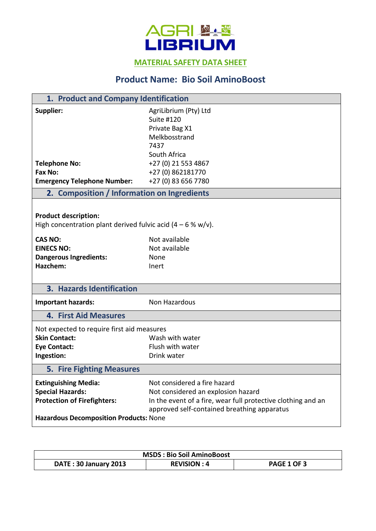

**MATERIAL SAFETY DATA SHEET** 

## **Product Name: Bio Soil AminoBoost**

| 1. Product and Company Identification                                                                                                  |                                                                                                                                                                                   |  |
|----------------------------------------------------------------------------------------------------------------------------------------|-----------------------------------------------------------------------------------------------------------------------------------------------------------------------------------|--|
| Supplier:                                                                                                                              | AgriLibrium (Pty) Ltd<br><b>Suite #120</b><br>Private Bag X1<br>Melkbosstrand<br>7437<br>South Africa                                                                             |  |
| <b>Telephone No:</b>                                                                                                                   | +27 (0) 21 553 4867                                                                                                                                                               |  |
| Fax No:                                                                                                                                | +27 (0) 862181770                                                                                                                                                                 |  |
| <b>Emergency Telephone Number:</b>                                                                                                     | +27 (0) 83 656 7780                                                                                                                                                               |  |
| 2. Composition / Information on Ingredients                                                                                            |                                                                                                                                                                                   |  |
| <b>Product description:</b><br>High concentration plant derived fulvic acid $(4 - 6 % w/v)$ .                                          |                                                                                                                                                                                   |  |
| <b>CAS NO:</b>                                                                                                                         | Not available                                                                                                                                                                     |  |
| <b>EINECS NO:</b>                                                                                                                      | Not available                                                                                                                                                                     |  |
| <b>Dangerous Ingredients:</b>                                                                                                          | None                                                                                                                                                                              |  |
| Hazchem:                                                                                                                               | Inert                                                                                                                                                                             |  |
| 3. Hazards Identification                                                                                                              |                                                                                                                                                                                   |  |
| <b>Important hazards:</b>                                                                                                              | Non Hazardous                                                                                                                                                                     |  |
| <b>4. First Aid Measures</b>                                                                                                           |                                                                                                                                                                                   |  |
| Not expected to require first aid measures                                                                                             |                                                                                                                                                                                   |  |
| <b>Skin Contact:</b>                                                                                                                   | Wash with water                                                                                                                                                                   |  |
| <b>Eye Contact:</b>                                                                                                                    | Flush with water                                                                                                                                                                  |  |
| Ingestion:                                                                                                                             | Drink water                                                                                                                                                                       |  |
| <b>5. Fire Fighting Measures</b>                                                                                                       |                                                                                                                                                                                   |  |
| <b>Extinguishing Media:</b><br><b>Special Hazards:</b><br><b>Protection of Firefighters:</b><br>Hazardous Decomposition Products: None | Not considered a fire hazard<br>Not considered an explosion hazard<br>In the event of a fire, wear full protective clothing and an<br>approved self-contained breathing apparatus |  |

| <b>MSDS: Bio Soil AminoBoost</b> |                    |                    |
|----------------------------------|--------------------|--------------------|
| DATE: 30 January 2013            | <b>REVISION: 4</b> | <b>PAGE 1 OF 3</b> |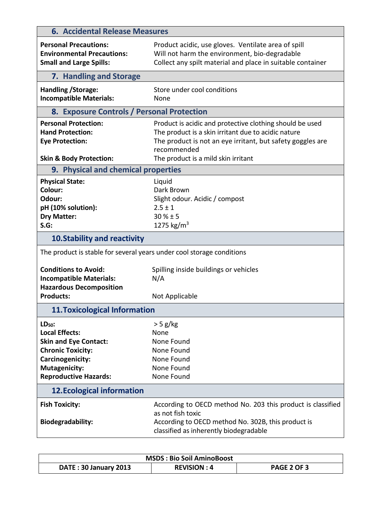| <b>6. Accidental Release Measures</b>                                                                                                                                     |                                                                                                                                                                                              |  |  |  |
|---------------------------------------------------------------------------------------------------------------------------------------------------------------------------|----------------------------------------------------------------------------------------------------------------------------------------------------------------------------------------------|--|--|--|
| <b>Personal Precautions:</b><br><b>Environmental Precautions:</b><br><b>Small and Large Spills:</b>                                                                       | Product acidic, use gloves. Ventilate area of spill<br>Will not harm the environment, bio-degradable<br>Collect any spilt material and place in suitable container                           |  |  |  |
| 7. Handling and Storage                                                                                                                                                   |                                                                                                                                                                                              |  |  |  |
| Handling / Storage:<br><b>Incompatible Materials:</b>                                                                                                                     | Store under cool conditions<br>None                                                                                                                                                          |  |  |  |
| 8. Exposure Controls / Personal Protection                                                                                                                                |                                                                                                                                                                                              |  |  |  |
| <b>Personal Protection:</b><br><b>Hand Protection:</b><br><b>Eye Protection:</b>                                                                                          | Product is acidic and protective clothing should be used<br>The product is a skin irritant due to acidic nature<br>The product is not an eye irritant, but safety goggles are<br>recommended |  |  |  |
| <b>Skin &amp; Body Protection:</b>                                                                                                                                        | The product is a mild skin irritant                                                                                                                                                          |  |  |  |
| 9. Physical and chemical properties                                                                                                                                       |                                                                                                                                                                                              |  |  |  |
| <b>Physical State:</b><br>Colour:<br>Odour:<br>pH (10% solution):<br><b>Dry Matter:</b><br>$S.G$ :                                                                        | Liquid<br>Dark Brown<br>Slight odour. Acidic / compost<br>$2.5 \pm 1$<br>$30 \% \pm 5$<br>1275 kg/m <sup>3</sup>                                                                             |  |  |  |
| <b>10. Stability and reactivity</b>                                                                                                                                       |                                                                                                                                                                                              |  |  |  |
| The product is stable for several years under cool storage conditions                                                                                                     |                                                                                                                                                                                              |  |  |  |
| <b>Conditions to Avoid:</b><br><b>Incompatible Materials:</b><br><b>Hazardous Decomposition</b>                                                                           | Spilling inside buildings or vehicles<br>N/A                                                                                                                                                 |  |  |  |
| <b>Products:</b>                                                                                                                                                          | Not Applicable                                                                                                                                                                               |  |  |  |
| <b>11. Toxicological Information</b>                                                                                                                                      |                                                                                                                                                                                              |  |  |  |
| $LD50$ :<br><b>Local Effects:</b><br><b>Skin and Eye Contact:</b><br><b>Chronic Toxicity:</b><br>Carcinogenicity:<br><b>Mutagenicity:</b><br><b>Reproductive Hazards:</b> | $>$ 5 g/kg<br>None<br>None Found<br>None Found<br>None Found<br>None Found<br>None Found                                                                                                     |  |  |  |
| <b>12. Ecological information</b>                                                                                                                                         |                                                                                                                                                                                              |  |  |  |
| <b>Fish Toxicity:</b><br>Biodegradability:                                                                                                                                | According to OECD method No. 203 this product is classified<br>as not fish toxic<br>According to OECD method No. 302B, this product is<br>classified as inherently biodegradable             |  |  |  |

| <b>MSDS: Bio Soil AminoBoost</b> |                    |                    |
|----------------------------------|--------------------|--------------------|
| DATE: 30 January 2013            | <b>REVISION: 4</b> | <b>PAGE 2 OF 3</b> |